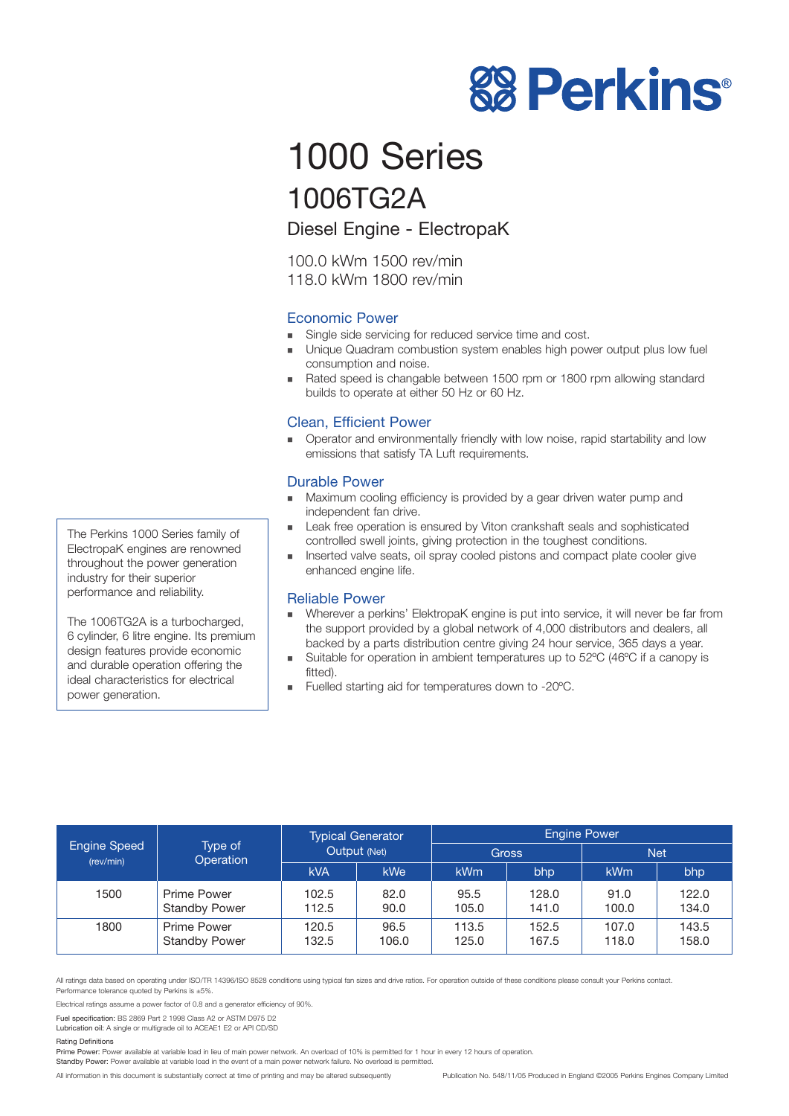

# 1000 Series 1006TG2A

Diesel Engine - ElectropaK

100.0 kWm 1500 rev/min 118.0 kWm 1800 rev/min

# Economic Power

- **EXECUTE:** Single side servicing for reduced service time and cost.
- ! Unique Quadram combustion system enables high power output plus low fuel consumption and noise.
- Rated speed is changable between 1500 rpm or 1800 rpm allowing standard builds to operate at either 50 Hz or 60 Hz.

# Clean, Efficient Power

! Operator and environmentally friendly with low noise, rapid startability and low emissions that satisfy TA Luft requirements.

# Durable Power

- Maximum cooling efficiency is provided by a gear driven water pump and independent fan drive.
- **EXECUTE:** Leak free operation is ensured by Viton crankshaft seals and sophisticated controlled swell joints, giving protection in the toughest conditions.
- ! Inserted valve seats, oil spray cooled pistons and compact plate cooler give enhanced engine life.

### Reliable Power

- Wherever a perkins' ElektropaK engine is put into service, it will never be far from the support provided by a global network of 4,000 distributors and dealers, all backed by a parts distribution centre giving 24 hour service, 365 days a year.
- Suitable for operation in ambient temperatures up to 52°C (46°C if a canopy is fitted).
- ! Fuelled starting aid for temperatures down to -20ºC.

| <b>Engine Speed</b><br>(rev/min) | Type of<br><b>Operation</b>                | <b>Typical Generator</b><br>Output (Net) |               | <b>Engine Power</b> |                |                |                |
|----------------------------------|--------------------------------------------|------------------------------------------|---------------|---------------------|----------------|----------------|----------------|
|                                  |                                            |                                          |               | <b>Gross</b>        |                | <b>Net</b>     |                |
|                                  |                                            | <b>kVA</b>                               | <b>kWe</b>    | <b>kWm</b>          | bhp            | <b>kWm</b>     | bhp            |
| 1500                             | <b>Prime Power</b><br><b>Standby Power</b> | 102.5<br>112.5                           | 82.0<br>90.0  | 95.5<br>105.0       | 128.0<br>141.0 | 91.0<br>100.0  | 122.0<br>134.0 |
| 1800                             | <b>Prime Power</b><br><b>Standby Power</b> | 120.5<br>132.5                           | 96.5<br>106.0 | 113.5<br>125.0      | 152.5<br>167.5 | 107.0<br>118.0 | 143.5<br>158.0 |

All ratings data based on operating under ISO/TR 14396/ISO 8528 conditions using typical fan sizes and drive ratios. For operation outside of these conditions please consult your Perkins contact. Performance tolerance quoted by Perkins is ±5%.

Electrical ratings assume a power factor of 0.8 and a generator efficiency of 90%.

Fuel specification: BS 2869 Part 2 1998 Class A2 or ASTM D975 D2

Lubrication oil: A single or multigrade oil to ACEAE1 E2 or API CD/SD

#### Rating Definitions

Prime Power: Power available at variable load in lieu of main power network. An overload of 10% is permitted for 1 hour in every 12 hours of operation.

Standby Power: Power available at variable load in the event of a main power network failure. No overload is permitted.

All information in this document is substantially correct at time of printing and may be altered subsequently Publication No. 548/11/05 Produced in England ©2005 Perkins Engines Company Limited

The Perkins 1000 Series family of ElectropaK engines are renowned throughout the power generation industry for their superior performance and reliability.

The 1006TG2A is a turbocharged, 6 cylinder, 6 litre engine. Its premium design features provide economic and durable operation offering the ideal characteristics for electrical power generation.